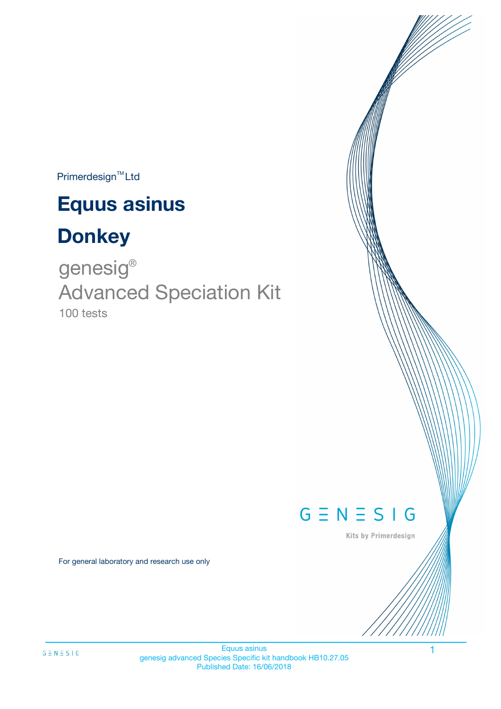$Primerdesign^{TM}$ Ltd

# **Equus asinus**

# **Donkey**

100 tests genesig ® Advanced Speciation Kit



Kits by Primerdesign

For general laboratory and research use only

 $G \equiv N \equiv S \perp G$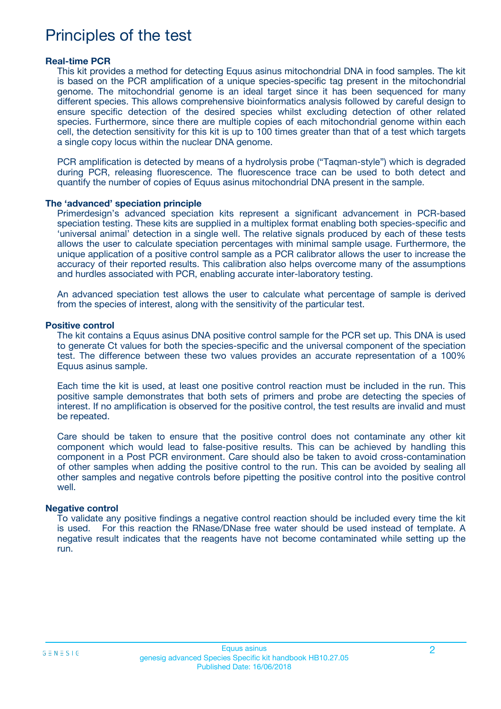### Principles of the test

#### **Real-time PCR**

This kit provides a method for detecting Equus asinus mitochondrial DNA in food samples. The kit is based on the PCR amplification of a unique species-specific tag present in the mitochondrial genome. The mitochondrial genome is an ideal target since it has been sequenced for many different species. This allows comprehensive bioinformatics analysis followed by careful design to ensure specific detection of the desired species whilst excluding detection of other related species. Furthermore, since there are multiple copies of each mitochondrial genome within each cell, the detection sensitivity for this kit is up to 100 times greater than that of a test which targets a single copy locus within the nuclear DNA genome.

PCR amplification is detected by means of a hydrolysis probe ("Taqman-style") which is degraded during PCR, releasing fluorescence. The fluorescence trace can be used to both detect and quantify the number of copies of Equus asinus mitochondrial DNA present in the sample.

#### **The 'advanced' speciation principle**

Primerdesign's advanced speciation kits represent a significant advancement in PCR-based speciation testing. These kits are supplied in a multiplex format enabling both species-specific and 'universal animal' detection in a single well. The relative signals produced by each of these tests allows the user to calculate speciation percentages with minimal sample usage. Furthermore, the unique application of a positive control sample as a PCR calibrator allows the user to increase the accuracy of their reported results. This calibration also helps overcome many of the assumptions and hurdles associated with PCR, enabling accurate inter-laboratory testing.

An advanced speciation test allows the user to calculate what percentage of sample is derived from the species of interest, along with the sensitivity of the particular test.

#### **Positive control**

The kit contains a Equus asinus DNA positive control sample for the PCR set up. This DNA is used to generate Ct values for both the species-specific and the universal component of the speciation test. The difference between these two values provides an accurate representation of a 100% Equus asinus sample.

Each time the kit is used, at least one positive control reaction must be included in the run. This positive sample demonstrates that both sets of primers and probe are detecting the species of interest. If no amplification is observed for the positive control, the test results are invalid and must be repeated.

Care should be taken to ensure that the positive control does not contaminate any other kit component which would lead to false-positive results. This can be achieved by handling this component in a Post PCR environment. Care should also be taken to avoid cross-contamination of other samples when adding the positive control to the run. This can be avoided by sealing all other samples and negative controls before pipetting the positive control into the positive control well.

#### **Negative control**

To validate any positive findings a negative control reaction should be included every time the kit is used. For this reaction the RNase/DNase free water should be used instead of template. A negative result indicates that the reagents have not become contaminated while setting up the run.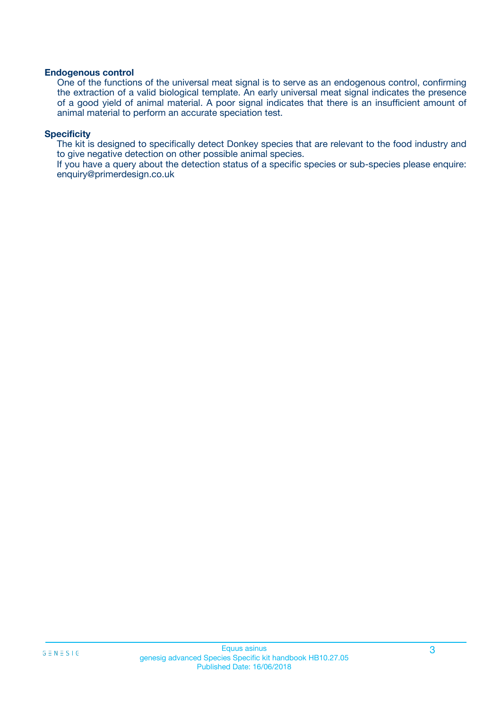#### **Endogenous control**

One of the functions of the universal meat signal is to serve as an endogenous control, confirming the extraction of a valid biological template. An early universal meat signal indicates the presence of a good yield of animal material. A poor signal indicates that there is an insufficient amount of animal material to perform an accurate speciation test.

#### **Specificity**

The kit is designed to specifically detect Donkey species that are relevant to the food industry and to give negative detection on other possible animal species.

If you have a query about the detection status of a specific species or sub-species please enquire: enquiry@primerdesign.co.uk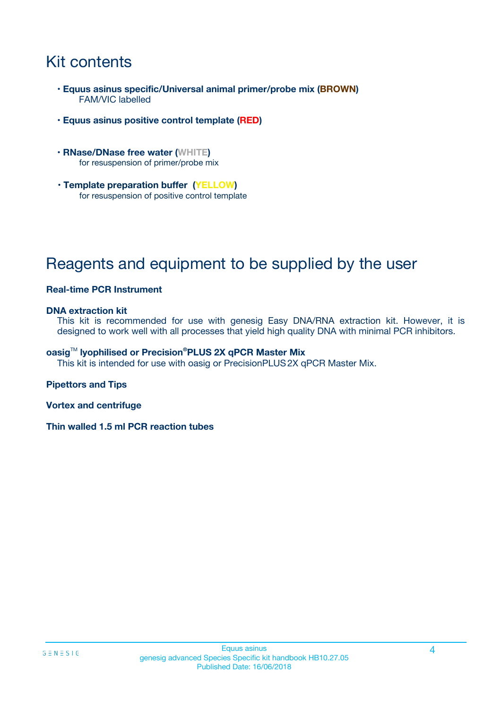## Kit contents

- **Equus asinus specific/Universal animal primer/probe mix (BROWN)** FAM/VIC labelled
- **Equus asinus positive control template (RED)**
- **RNase/DNase free water (WHITE)** for resuspension of primer/probe mix
- **Template preparation buffer (YELLOW)** for resuspension of positive control template

## Reagents and equipment to be supplied by the user

#### **Real-time PCR Instrument**

#### **DNA extraction kit**

This kit is recommended for use with genesig Easy DNA/RNA extraction kit. However, it is designed to work well with all processes that yield high quality DNA with minimal PCR inhibitors.

#### **oasig**TM **lyophilised or Precision®PLUS 2X qPCR Master Mix**

This kit is intended for use with oasig or PrecisionPLUS2X qPCR Master Mix.

#### **Pipettors and Tips**

**Vortex and centrifuge**

**Thin walled 1.5 ml PCR reaction tubes**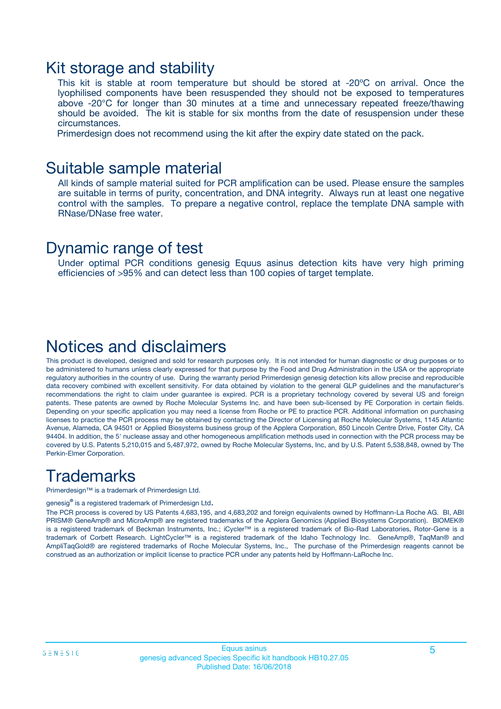### Kit storage and stability

This kit is stable at room temperature but should be stored at -20ºC on arrival. Once the lyophilised components have been resuspended they should not be exposed to temperatures above -20°C for longer than 30 minutes at a time and unnecessary repeated freeze/thawing should be avoided. The kit is stable for six months from the date of resuspension under these circumstances.

Primerdesign does not recommend using the kit after the expiry date stated on the pack.

### Suitable sample material

All kinds of sample material suited for PCR amplification can be used. Please ensure the samples are suitable in terms of purity, concentration, and DNA integrity. Always run at least one negative control with the samples. To prepare a negative control, replace the template DNA sample with RNase/DNase free water.

### Dynamic range of test

Under optimal PCR conditions genesig Equus asinus detection kits have very high priming efficiencies of >95% and can detect less than 100 copies of target template.

### Notices and disclaimers

This product is developed, designed and sold for research purposes only. It is not intended for human diagnostic or drug purposes or to be administered to humans unless clearly expressed for that purpose by the Food and Drug Administration in the USA or the appropriate regulatory authorities in the country of use. During the warranty period Primerdesign genesig detection kits allow precise and reproducible data recovery combined with excellent sensitivity. For data obtained by violation to the general GLP guidelines and the manufacturer's recommendations the right to claim under guarantee is expired. PCR is a proprietary technology covered by several US and foreign patents. These patents are owned by Roche Molecular Systems Inc. and have been sub-licensed by PE Corporation in certain fields. Depending on your specific application you may need a license from Roche or PE to practice PCR. Additional information on purchasing licenses to practice the PCR process may be obtained by contacting the Director of Licensing at Roche Molecular Systems, 1145 Atlantic Avenue, Alameda, CA 94501 or Applied Biosystems business group of the Applera Corporation, 850 Lincoln Centre Drive, Foster City, CA 94404. In addition, the 5' nuclease assay and other homogeneous amplification methods used in connection with the PCR process may be covered by U.S. Patents 5,210,015 and 5,487,972, owned by Roche Molecular Systems, Inc, and by U.S. Patent 5,538,848, owned by The Perkin-Elmer Corporation.

### **Trademarks**

Primerdesign™ is a trademark of Primerdesign Ltd.

genesig**®** is a registered trademark of Primerdesign Ltd.

The PCR process is covered by US Patents 4,683,195, and 4,683,202 and foreign equivalents owned by Hoffmann-La Roche AG. BI, ABI PRISM® GeneAmp® and MicroAmp® are registered trademarks of the Applera Genomics (Applied Biosystems Corporation). BIOMEK® is a registered trademark of Beckman Instruments, Inc.; iCycler™ is a registered trademark of Bio-Rad Laboratories, Rotor-Gene is a trademark of Corbett Research. LightCycler™ is a registered trademark of the Idaho Technology Inc. GeneAmp®, TaqMan® and AmpliTaqGold® are registered trademarks of Roche Molecular Systems, Inc., The purchase of the Primerdesign reagents cannot be construed as an authorization or implicit license to practice PCR under any patents held by Hoffmann-LaRoche Inc.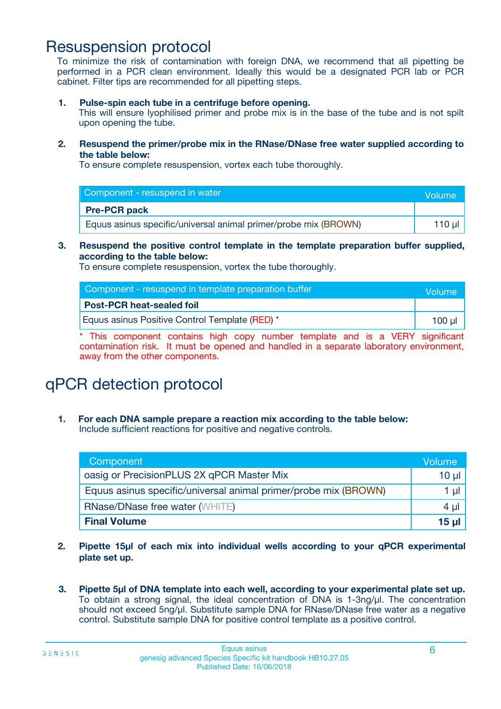### Resuspension protocol

To minimize the risk of contamination with foreign DNA, we recommend that all pipetting be performed in a PCR clean environment. Ideally this would be a designated PCR lab or PCR cabinet. Filter tips are recommended for all pipetting steps.

**1. Pulse-spin each tube in a centrifuge before opening.**

This will ensure lyophilised primer and probe mix is in the base of the tube and is not spilt upon opening the tube.

**2. Resuspend the primer/probe mix in the RNase/DNase free water supplied according to the table below:**

To ensure complete resuspension, vortex each tube thoroughly.

| Component - resuspend in water                                  | Volume   |
|-----------------------------------------------------------------|----------|
| <b>Pre-PCR pack</b>                                             |          |
| Equus asinus specific/universal animal primer/probe mix (BROWN) | 110 µl 1 |

#### **3. Resuspend the positive control template in the template preparation buffer supplied, according to the table below:**

To ensure complete resuspension, vortex the tube thoroughly.

| Component - resuspend in template preparation buffer | Volume   |
|------------------------------------------------------|----------|
| <b>Post-PCR heat-sealed foil</b>                     |          |
| Equus asinus Positive Control Template (RED) *       | $100$ ul |

\* This component contains high copy number template and is a VERY significant contamination risk. It must be opened and handled in a separate laboratory environment, away from the other components.

# qPCR detection protocol

**1. For each DNA sample prepare a reaction mix according to the table below:** Include sufficient reactions for positive and negative controls.

| Component                                                       | Volume          |
|-----------------------------------------------------------------|-----------------|
| oasig or PrecisionPLUS 2X qPCR Master Mix                       | $10 \mu$        |
| Equus asinus specific/universal animal primer/probe mix (BROWN) | 1 µl            |
| <b>RNase/DNase free water (WHITE)</b>                           | 4 µl            |
| <b>Final Volume</b>                                             | 15 <sub>µ</sub> |

- **2. Pipette 15µl of each mix into individual wells according to your qPCR experimental plate set up.**
- **3. Pipette 5µl of DNA template into each well, according to your experimental plate set up.** To obtain a strong signal, the ideal concentration of DNA is 1-3ng/µl. The concentration should not exceed 5ng/µl. Substitute sample DNA for RNase/DNase free water as a negative control. Substitute sample DNA for positive control template as a positive control.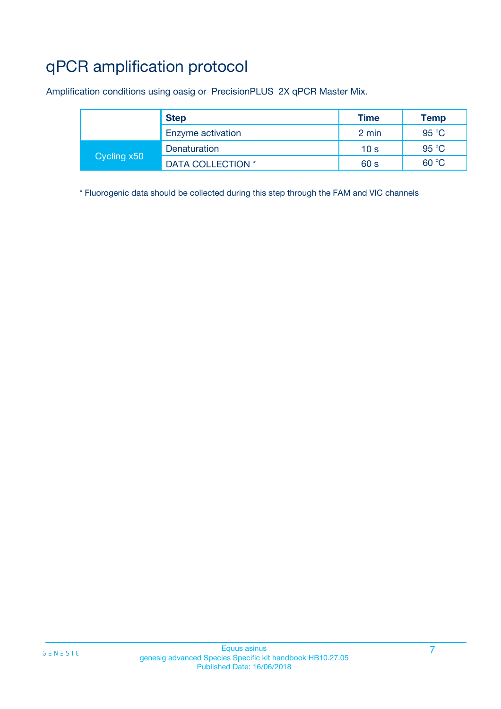# qPCR amplification protocol

Amplification conditions using oasig or PrecisionPLUS 2X qPCR Master Mix.

|             | <b>Step</b>       | <b>Time</b>     | <b>Temp</b> |
|-------------|-------------------|-----------------|-------------|
|             | Enzyme activation | 2 min           | 95 °C       |
| Cycling x50 | Denaturation      | 10 <sub>s</sub> | 95 °C       |
|             | DATA COLLECTION * | 60 s            | 60 °C       |

\* Fluorogenic data should be collected during this step through the FAM and VIC channels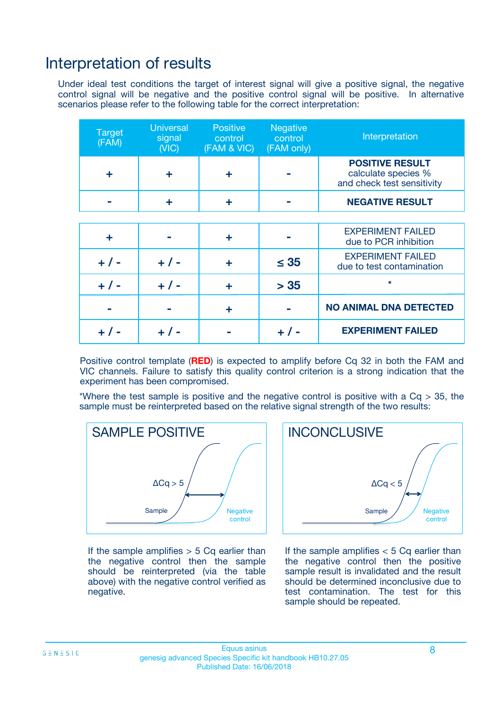### Interpretation of results

Under ideal test conditions the target of interest signal will give a positive signal, the negative control signal will be negative and the positive control signal will be positive. In alternative scenarios please refer to the following table for the correct interpretation:

| <b>Target</b><br>(FAM) | <b>Universal</b><br>signal<br>(NIC) | <b>Positive</b><br>control<br>(FAM & VIC) | <b>Negative</b><br>control<br>(FAM only) | Interpretation                                                              |
|------------------------|-------------------------------------|-------------------------------------------|------------------------------------------|-----------------------------------------------------------------------------|
| ÷                      | ÷                                   | ÷                                         |                                          | <b>POSITIVE RESULT</b><br>calculate species %<br>and check test sensitivity |
|                        |                                     | ÷                                         |                                          | <b>NEGATIVE RESULT</b>                                                      |
|                        |                                     |                                           |                                          |                                                                             |
| ÷                      |                                     | ÷                                         |                                          | <b>EXPERIMENT FAILED</b><br>due to PCR inhibition                           |
| $+$ / -                | $+ 1 -$                             | ٠                                         | $\leq$ 35                                | <b>EXPERIMENT FAILED</b><br>due to test contamination                       |
| $+ 1 -$                | $+ 1 -$                             | ÷                                         | > 35                                     | $\star$                                                                     |
|                        |                                     | ÷                                         |                                          | <b>NO ANIMAL DNA DETECTED</b>                                               |
|                        | $+/-$                               |                                           | + / -                                    | <b>EXPERIMENT FAILED</b>                                                    |

Positive control template (**RED**) is expected to amplify before Cq 32 in both the FAM and VIC channels. Failure to satisfy this quality control criterion is a strong indication that the experiment has been compromised.

\*Where the test sample is positive and the negative control is positive with a  $Cq > 35$ , the sample must be reinterpreted based on the relative signal strength of the two results:



If the sample amplifies  $> 5$  Cq earlier than the negative control then the sample should be reinterpreted (via the table above) with the negative control verified as negative.



If the sample amplifies  $< 5$  Cq earlier than the negative control then the positive sample result is invalidated and the result should be determined inconclusive due to test contamination. The test for this sample should be repeated.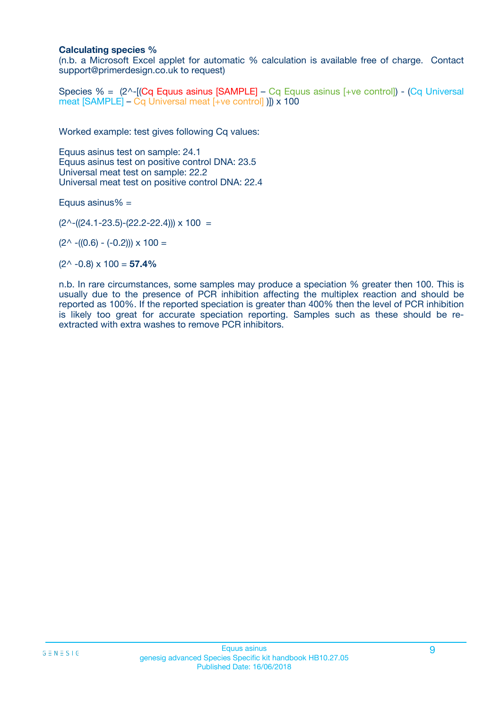#### **Calculating species %**

(n.b. a Microsoft Excel applet for automatic % calculation is available free of charge. Contact support@primerdesign.co.uk to request)

Species % = (2^-[(Cq Equus asinus [SAMPLE] – Cq Equus asinus [+ve control]) - (Cq Universal meat [SAMPLE] – Cq Universal meat [+ve control] )]) x 100

Worked example: test gives following Cq values:

Equus asinus test on sample: 24.1 Equus asinus test on positive control DNA: 23.5 Universal meat test on sample: 22.2 Universal meat test on positive control DNA: 22.4

Equus asinus $% =$ 

 $(2^{\wedge}-(24.1-23.5)-(22.2-22.4))) \times 100 =$ 

 $(2^{\wedge}$  -((0.6) - (-0.2)))  $\times$  100 =

 $(2^{\wedge}$  -0.8)  $\times$  100 = **57.4%** 

n.b. In rare circumstances, some samples may produce a speciation % greater then 100. This is usually due to the presence of PCR inhibition affecting the multiplex reaction and should be reported as 100%. If the reported speciation is greater than 400% then the level of PCR inhibition is likely too great for accurate speciation reporting. Samples such as these should be reextracted with extra washes to remove PCR inhibitors.